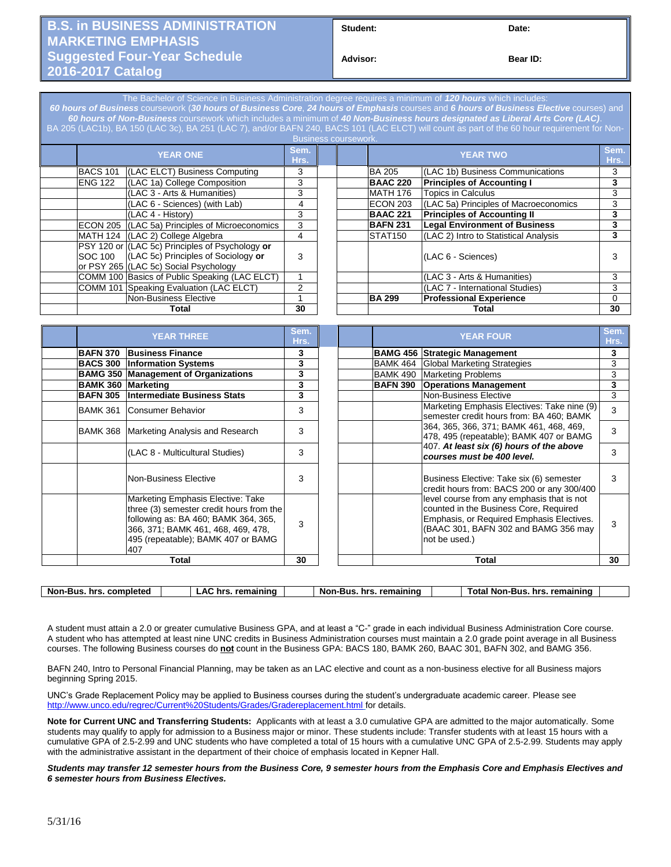## **B.S. in BUSINESS ADMINISTRATION MARKETING EMPHASIS Suggested Four-Year Schedule 2016-2017 Catalog**

**Student: Date:**

**Bear ID:** 

The Bachelor of Science in Business Administration degree requires a minimum of *120 hours* which includes: *60 hours of Business* coursework (*30 hours of Business Core*, *24 hours of Emphasis* courses and *6 hours of Business Elective* courses) and *60 hours of Non-Business* coursework which includes a minimum of *40 Non-Business hours designated as Liberal Arts Core (LAC)*. BA 205 (LAC1b), BA 150 (LAC 3c), BA 251 (LAC 7), and/or BAFN 240, BACS 101 (LAC ELCT) will count as part of the 60 hour requirement for Non-

| Business coursework. |                 |                                                                                                                                 |   |  |  |                    |                                       |   |
|----------------------|-----------------|---------------------------------------------------------------------------------------------------------------------------------|---|--|--|--------------------|---------------------------------------|---|
|                      | <b>YEAR ONE</b> |                                                                                                                                 |   |  |  | <b>YEAR TWO</b>    |                                       |   |
|                      | <b>BACS 101</b> | (LAC ELCT) Business Computing                                                                                                   | 3 |  |  | <b>BA 205</b>      | (LAC 1b) Business Communications      | 3 |
|                      | <b>ENG 122</b>  | (LAC 1a) College Composition                                                                                                    | 3 |  |  | <b>BAAC 220</b>    | <b>Principles of Accounting I</b>     | 3 |
|                      |                 | (LAC 3 - Arts & Humanities)                                                                                                     | 3 |  |  | <b>MATH 176</b>    | Topics in Calculus                    | 3 |
|                      |                 | (LAC 6 - Sciences) (with Lab)                                                                                                   | 4 |  |  | ECON 203           | (LAC 5a) Principles of Macroeconomics | 3 |
|                      |                 | (LAC 4 - History)                                                                                                               | 3 |  |  | <b>BAAC 221</b>    | <b>Principles of Accounting II</b>    | 3 |
|                      |                 | ECON 205 (LAC 5a) Principles of Microeconomics                                                                                  | 3 |  |  | <b>BAFN 231</b>    | <b>Legal Environment of Business</b>  | 3 |
|                      |                 | MATH 124 (LAC 2) College Algebra                                                                                                | 4 |  |  | <b>STAT150</b>     | (LAC 2) Intro to Statistical Analysis | 3 |
|                      | <b>SOC 100</b>  | PSY 120 or (LAC 5c) Principles of Psychology or<br>(LAC 5c) Principles of Sociology or<br>or PSY 265 (LAC 5c) Social Psychology | 3 |  |  |                    | (LAC 6 - Sciences)                    |   |
|                      |                 | COMM 100 Basics of Public Speaking (LAC ELCT)                                                                                   |   |  |  |                    | (LAC 3 - Arts & Humanities)           | 3 |
|                      |                 | COMM 101 Speaking Evaluation (LAC ELCT)                                                                                         | 2 |  |  |                    | I(LAC 7 - International Studies)      | 3 |
|                      |                 | Non-Business Elective                                                                                                           |   |  |  | <b>BA 299</b>      | <b>Professional Experience</b>        | 0 |
|                      | Total           |                                                                                                                                 |   |  |  | 30<br><b>Total</b> |                                       |   |
|                      |                 |                                                                                                                                 |   |  |  |                    |                                       |   |

| <b>YEAR THREE</b>         |                                                                                                                                                                                                          |   |                 | <b>YEAR FOUR</b>                                                                                                                                                                           |   |  |
|---------------------------|----------------------------------------------------------------------------------------------------------------------------------------------------------------------------------------------------------|---|-----------------|--------------------------------------------------------------------------------------------------------------------------------------------------------------------------------------------|---|--|
| <b>BAFN 370</b>           | <b>Business Finance</b>                                                                                                                                                                                  | 3 |                 | <b>BAMG 456 Strategic Management</b>                                                                                                                                                       | 3 |  |
| <b>BACS 300</b>           | <b>Information Systems</b>                                                                                                                                                                               | 3 | <b>BAMK 464</b> | Global Marketing Strategies                                                                                                                                                                | 3 |  |
|                           | <b>BAMG 350 Management of Organizations</b>                                                                                                                                                              | 3 | <b>BAMK 490</b> | <b>Marketing Problems</b>                                                                                                                                                                  | 3 |  |
| <b>BAMK 360 Marketing</b> |                                                                                                                                                                                                          | 3 | <b>BAFN 390</b> | <b>Operations Management</b>                                                                                                                                                               | 3 |  |
| <b>BAFN 305</b>           | Intermediate Business Stats                                                                                                                                                                              | 3 |                 | Non-Business Elective                                                                                                                                                                      | 3 |  |
| <b>BAMK 361</b>           | Consumer Behavior                                                                                                                                                                                        | 3 |                 | Marketing Emphasis Electives: Take nine (9)<br>semester credit hours from: BA 460; BAMK                                                                                                    | 3 |  |
| <b>BAMK 368</b>           | Marketing Analysis and Research                                                                                                                                                                          | 3 |                 | 364, 365, 366, 371; BAMK 461, 468, 469,<br>478, 495 (repeatable); BAMK 407 or BAMG                                                                                                         | 3 |  |
|                           | (LAC 8 - Multicultural Studies)                                                                                                                                                                          | 3 |                 | 407. At least six (6) hours of the above<br>courses must be 400 level.                                                                                                                     | 3 |  |
|                           | Non-Business Elective                                                                                                                                                                                    | 3 |                 | Business Elective: Take six (6) semester<br>credit hours from: BACS 200 or any 300/400                                                                                                     | 3 |  |
|                           | Marketing Emphasis Elective: Take<br>three (3) semester credit hours from the<br>following as: BA 460; BAMK 364, 365,<br>366, 371; BAMK 461, 468, 469, 478,<br>495 (repeatable); BAMK 407 or BAMG<br>407 | 3 |                 | level course from any emphasis that is not<br>counted in the Business Core, Required<br>Emphasis, or Required Emphasis Electives.<br>(BAAC 301, BAFN 302 and BAMG 356 may<br>not be used.) | 3 |  |
| Total                     |                                                                                                                                                                                                          |   |                 | Total                                                                                                                                                                                      |   |  |

| Non-<br>Bus<br>completed<br>hrs. | $\mathbf{A}^{\prime}$ | remaining<br>hrs.<br>~<br>$\sim$ | remaining<br>-Bus.<br>hrs<br>Nor | remaining<br>Non-<br>hrs<br>otal<br>Bus |  |
|----------------------------------|-----------------------|----------------------------------|----------------------------------|-----------------------------------------|--|
|                                  |                       |                                  |                                  |                                         |  |

A student must attain a 2.0 or greater cumulative Business GPA, and at least a "C-" grade in each individual Business Administration Core course. A student who has attempted at least nine UNC credits in Business Administration courses must maintain a 2.0 grade point average in all Business courses. The following Business courses do **not** count in the Business GPA: BACS 180, BAMK 260, BAAC 301, BAFN 302, and BAMG 356.

BAFN 240, Intro to Personal Financial Planning, may be taken as an LAC elective and count as a non-business elective for all Business majors beginning Spring 2015.

UNC's Grade Replacement Policy may be applied to Business courses during the student's undergraduate academic career. Please see <http://www.unco.edu/regrec/Current%20Students/Grades/Gradereplacement.html> for details.

**Note for Current UNC and Transferring Students:** Applicants with at least a 3.0 cumulative GPA are admitted to the major automatically. Some students may qualify to apply for admission to a Business major or minor. These students include: Transfer students with at least 15 hours with a cumulative GPA of 2.5-2.99 and UNC students who have completed a total of 15 hours with a cumulative UNC GPA of 2.5-2.99. Students may apply with the administrative assistant in the department of their choice of emphasis located in Kepner Hall.

*Students may transfer 12 semester hours from the Business Core, 9 semester hours from the Emphasis Core and Emphasis Electives and 6 semester hours from Business Electives.*